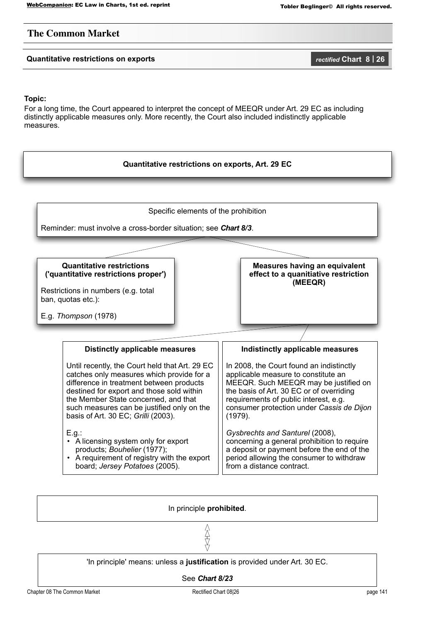## **The Common Market**

## **Quantitative restrictions on exports** *rectified* **Chart 8 | 26**

### **Topic:**

For a long time, the Court appeared to interpret the concept of MEEQR under Art. 29 EC as including distinctly applicable measures only. More recently, the Court also included indistinctly applicable measures.



### In principle **prohibited**.

会议

'In principle' means: unless a **justification** is provided under Art. 30 EC.

See *Chart 8/23*